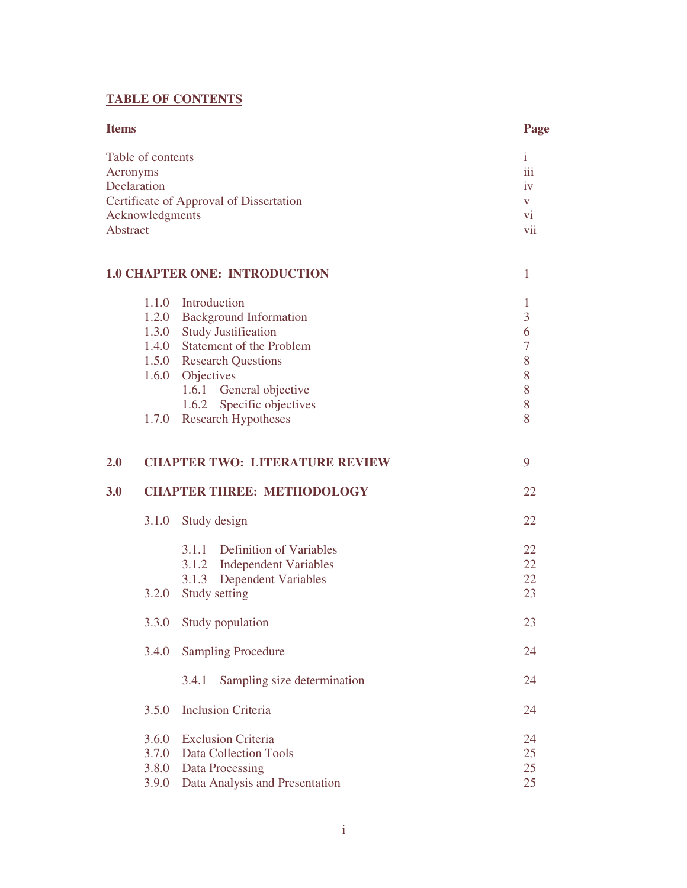## **TABLE OF CONTENTS**

| <b>Items</b>                                                                                                           |                                  |                                                                                                                                                                                                                                                        | Page                                           |
|------------------------------------------------------------------------------------------------------------------------|----------------------------------|--------------------------------------------------------------------------------------------------------------------------------------------------------------------------------------------------------------------------------------------------------|------------------------------------------------|
| Table of contents<br>Acronyms<br>Declaration<br>Certificate of Approval of Dissertation<br>Acknowledgments<br>Abstract |                                  |                                                                                                                                                                                                                                                        | $\mathbf{i}$<br>iii<br>iv<br>V<br>vi<br>vii    |
|                                                                                                                        |                                  | <b>1.0 CHAPTER ONE: INTRODUCTION</b>                                                                                                                                                                                                                   | $\mathbf{1}$                                   |
|                                                                                                                        |                                  | 1.1.0 Introduction<br>1.2.0 Background Information<br>1.3.0 Study Justification<br>1.4.0 Statement of the Problem<br>1.5.0 Research Questions<br>1.6.0 Objectives<br>1.6.1 General objective<br>1.6.2 Specific objectives<br>1.7.0 Research Hypotheses | 1<br>3<br>6<br>$\tau$<br>8<br>8<br>8<br>8<br>8 |
| 2.0                                                                                                                    |                                  | <b>CHAPTER TWO: LITERATURE REVIEW</b>                                                                                                                                                                                                                  | 9                                              |
| 3.0                                                                                                                    |                                  | <b>CHAPTER THREE: METHODOLOGY</b>                                                                                                                                                                                                                      | 22                                             |
|                                                                                                                        | 3.1.0                            | Study design                                                                                                                                                                                                                                           | 22                                             |
|                                                                                                                        | 3.2.0                            | 3.1.1 Definition of Variables<br>3.1.2 Independent Variables<br><b>Dependent Variables</b><br>3.1.3<br>Study setting                                                                                                                                   | 22<br>22<br>22<br>23                           |
|                                                                                                                        |                                  | 3.3.0 Study population                                                                                                                                                                                                                                 | 23                                             |
|                                                                                                                        | 3.4.0                            | <b>Sampling Procedure</b>                                                                                                                                                                                                                              | 24                                             |
|                                                                                                                        |                                  | 3.4.1<br>Sampling size determination                                                                                                                                                                                                                   | 24                                             |
|                                                                                                                        | 3.5.0                            | <b>Inclusion Criteria</b>                                                                                                                                                                                                                              | 24                                             |
|                                                                                                                        | 3.6.0<br>3.7.0<br>3.8.0<br>3.9.0 | <b>Exclusion Criteria</b><br><b>Data Collection Tools</b><br>Data Processing<br>Data Analysis and Presentation                                                                                                                                         | 24<br>25<br>25<br>25                           |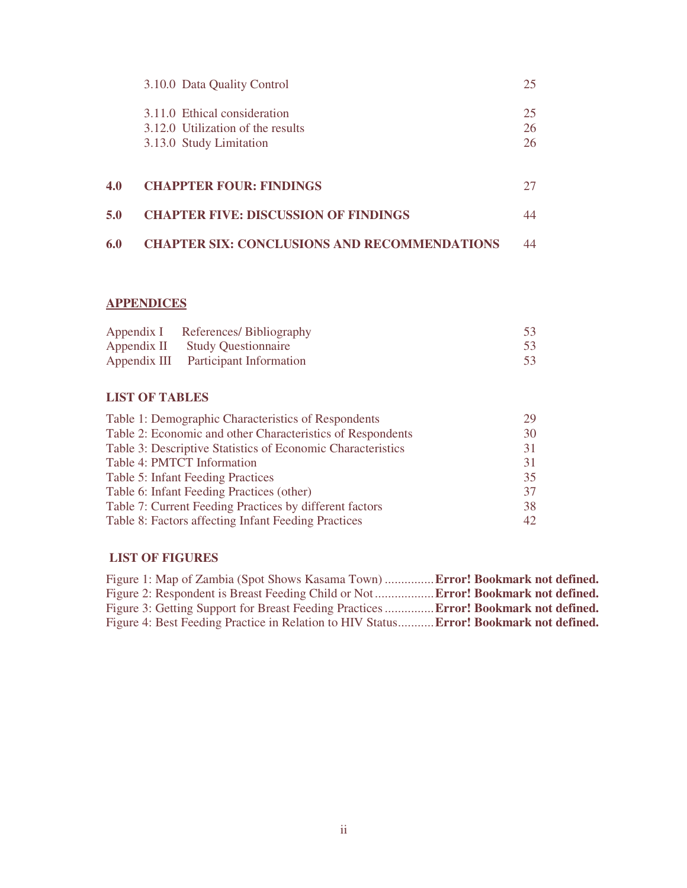|     | 3.10.0 Data Quality Control                                                                  | 25             |
|-----|----------------------------------------------------------------------------------------------|----------------|
|     | 3.11.0 Ethical consideration<br>3.12.0 Utilization of the results<br>3.13.0 Study Limitation | 25<br>26<br>26 |
| 4.0 | <b>CHAPPTER FOUR: FINDINGS</b>                                                               | 27             |
| 5.0 | <b>CHAPTER FIVE: DISCUSSION OF FINDINGS</b>                                                  | 44             |
| 6.0 | <b>CHAPTER SIX: CONCLUSIONS AND RECOMMENDATIONS</b>                                          | 44             |

### **APPENDICES**

| Appendix I References/Bibliography   | 53 |
|--------------------------------------|----|
| Appendix II Study Questionnaire      | 53 |
| Appendix III Participant Information | 53 |

# **LIST OF TABLES**

| 29  |
|-----|
| 30  |
| 31  |
| 31  |
| 35  |
| 37  |
| 38  |
| 42. |
|     |

# **LIST OF FIGURES**

| Figure 1: Map of Zambia (Spot Shows Kasama Town) <b>Error! Bookmark not defined.</b>       |  |
|--------------------------------------------------------------------------------------------|--|
| Figure 2: Respondent is Breast Feeding Child or Not <b>Error! Bookmark not defined.</b>    |  |
| Figure 3: Getting Support for Breast Feeding Practices <b>Error! Bookmark not defined.</b> |  |
| Figure 4: Best Feeding Practice in Relation to HIV Status Error! Bookmark not defined.     |  |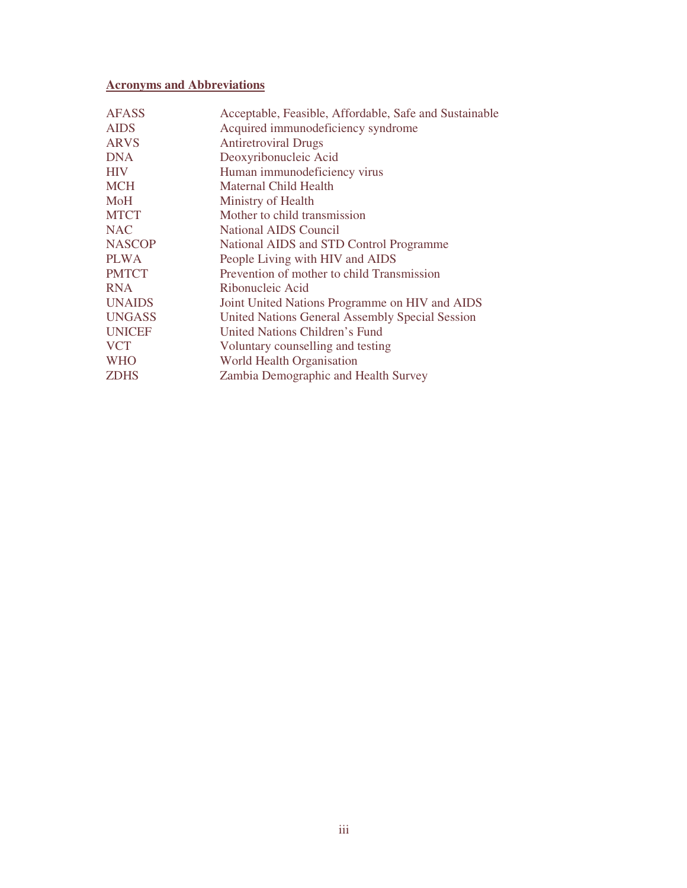# **Acronyms and Abbreviations**

| <b>AFASS</b>  | Acceptable, Feasible, Affordable, Safe and Sustainable |
|---------------|--------------------------------------------------------|
| <b>AIDS</b>   | Acquired immunodeficiency syndrome                     |
| <b>ARVS</b>   | <b>Antiretroviral Drugs</b>                            |
| <b>DNA</b>    | Deoxyribonucleic Acid                                  |
| <b>HIV</b>    | Human immunodeficiency virus                           |
| <b>MCH</b>    | <b>Maternal Child Health</b>                           |
| MoH           | Ministry of Health                                     |
| <b>MTCT</b>   | Mother to child transmission                           |
| <b>NAC</b>    | National AIDS Council                                  |
| <b>NASCOP</b> | National AIDS and STD Control Programme                |
| <b>PLWA</b>   | People Living with HIV and AIDS                        |
| <b>PMTCT</b>  | Prevention of mother to child Transmission             |
| <b>RNA</b>    | Ribonucleic Acid                                       |
| <b>UNAIDS</b> | Joint United Nations Programme on HIV and AIDS         |
| <b>UNGASS</b> | United Nations General Assembly Special Session        |
| <b>UNICEF</b> | United Nations Children's Fund                         |
| <b>VCT</b>    | Voluntary counselling and testing                      |
| <b>WHO</b>    | World Health Organisation                              |
| <b>ZDHS</b>   | Zambia Demographic and Health Survey                   |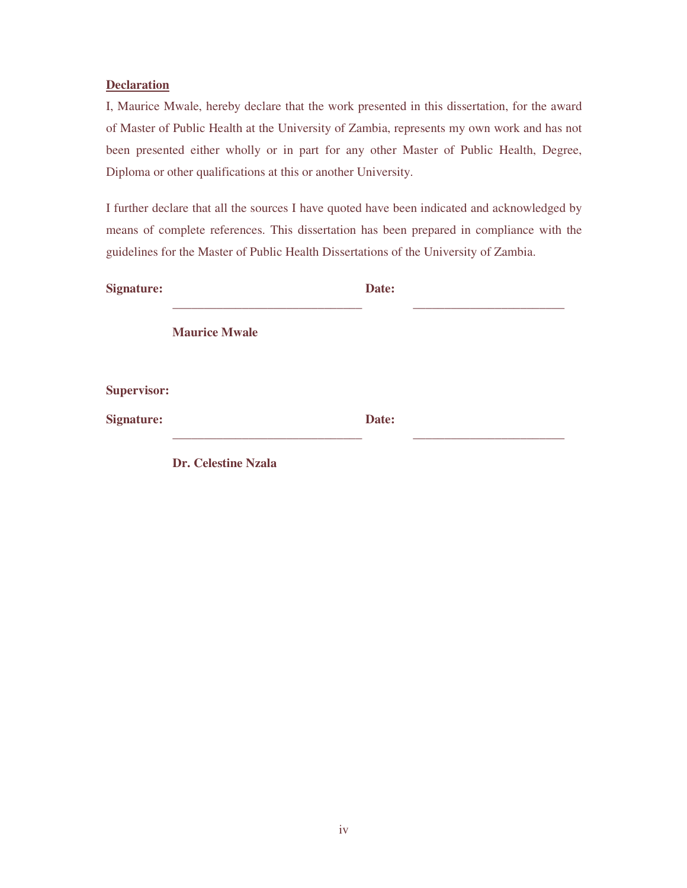### **Declaration**

I, Maurice Mwale, hereby declare that the work presented in this dissertation, for the award of Master of Public Health at the University of Zambia, represents my own work and has not been presented either wholly or in part for any other Master of Public Health, Degree, Diploma or other qualifications at this or another University.

I further declare that all the sources I have quoted have been indicated and acknowledged by means of complete references. This dissertation has been prepared in compliance with the guidelines for the Master of Public Health Dissertations of the University of Zambia.

| <b>Signature:</b>  |                            | Date: |  |  |
|--------------------|----------------------------|-------|--|--|
|                    | <b>Maurice Mwale</b>       |       |  |  |
| <b>Supervisor:</b> |                            |       |  |  |
| <b>Signature:</b>  |                            | Date: |  |  |
|                    | <b>Dr. Celestine Nzala</b> |       |  |  |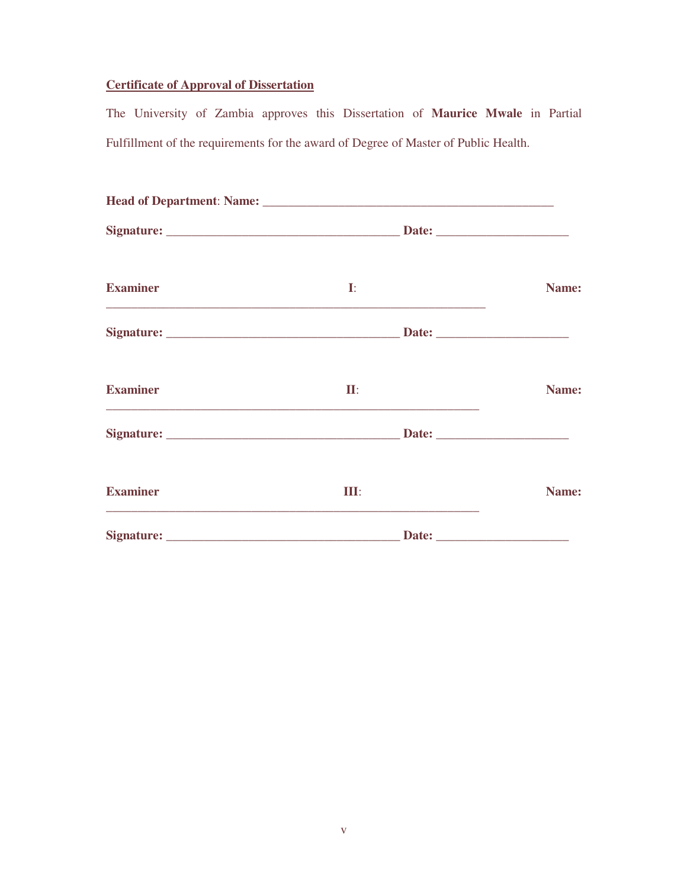## **Certificate of Approval of Dissertation**

The University of Zambia approves this Dissertation of **Maurice Mwale** in Partial Fulfillment of the requirements for the award of Degree of Master of Public Health.

| <b>Examiner</b> | $\mathbf{I}:$ | Name: |
|-----------------|---------------|-------|
|                 |               |       |
| <b>Examiner</b> | $\Pi$ :       | Name: |
|                 |               |       |
| <b>Examiner</b> | III:          | Name: |
|                 |               |       |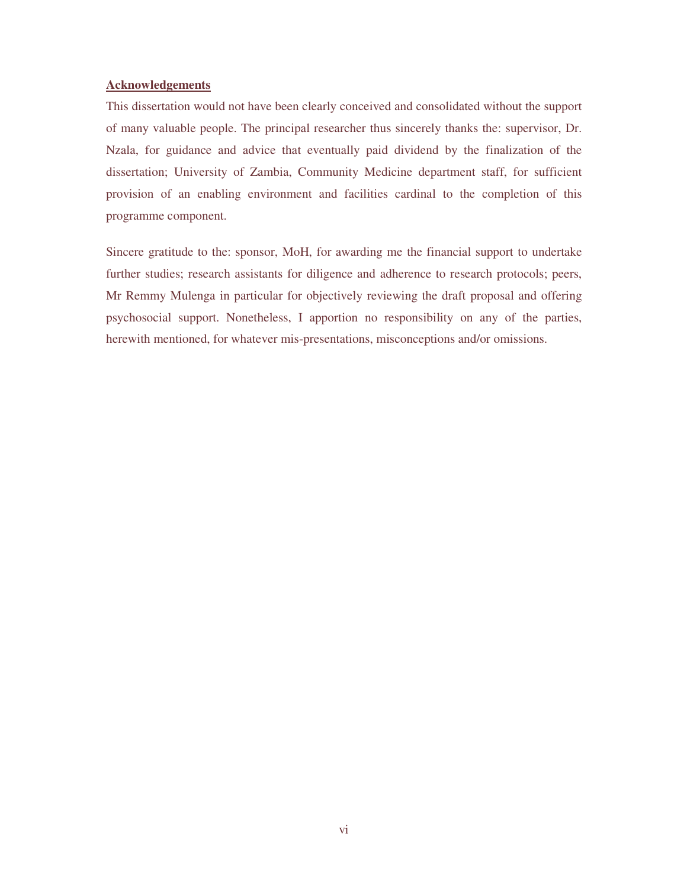#### **Acknowledgements**

This dissertation would not have been clearly conceived and consolidated without the support of many valuable people. The principal researcher thus sincerely thanks the: supervisor, Dr. Nzala, for guidance and advice that eventually paid dividend by the finalization of the dissertation; University of Zambia, Community Medicine department staff, for sufficient provision of an enabling environment and facilities cardinal to the completion of this programme component.

Sincere gratitude to the: sponsor, MoH, for awarding me the financial support to undertake further studies; research assistants for diligence and adherence to research protocols; peers, Mr Remmy Mulenga in particular for objectively reviewing the draft proposal and offering psychosocial support. Nonetheless, I apportion no responsibility on any of the parties, herewith mentioned, for whatever mis-presentations, misconceptions and/or omissions.